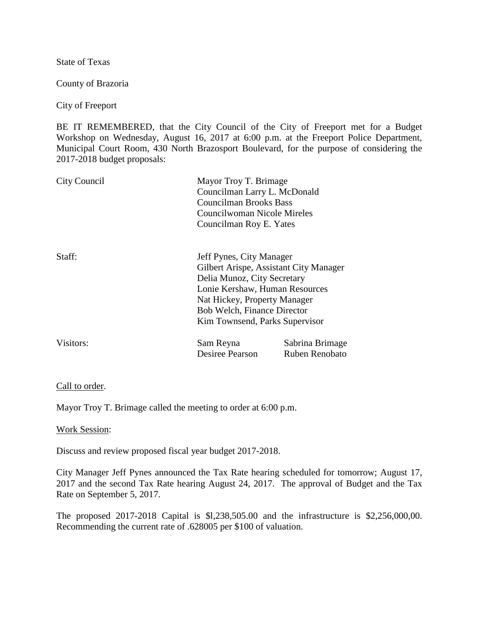State of Texas

County of Brazoria

City of Freeport

BE IT REMEMBERED, that the City Council of the City of Freeport met for a Budget Workshop on Wednesday, August 16, 2017 at 6:00 p.m. at the Freeport Police Department, Municipal Court Room, 430 North Brazosport Boulevard, for the purpose of considering the 2017-2018 budget proposals:

| City Council |                                                                                                                                                                                                                                             | Mayor Troy T. Brimage<br>Councilman Larry L. McDonald<br><b>Councilman Brooks Bass</b><br>Councilwoman Nicole Mireles<br>Councilman Roy E. Yates |  |
|--------------|---------------------------------------------------------------------------------------------------------------------------------------------------------------------------------------------------------------------------------------------|--------------------------------------------------------------------------------------------------------------------------------------------------|--|
| Staff:       | Jeff Pynes, City Manager<br>Gilbert Arispe, Assistant City Manager<br>Delia Munoz, City Secretary<br>Lonie Kershaw, Human Resources<br>Nat Hickey, Property Manager<br><b>Bob Welch, Finance Director</b><br>Kim Townsend, Parks Supervisor |                                                                                                                                                  |  |
| Visitors:    | Sam Reyna<br>Desiree Pearson                                                                                                                                                                                                                | Sabrina Brimage<br>Ruben Renobato                                                                                                                |  |

## Call to order.

Mayor Troy T. Brimage called the meeting to order at 6:00 p.m.

## Work Session:

Discuss and review proposed fiscal year budget 2017-2018.

City Manager Jeff Pynes announced the Tax Rate hearing scheduled for tomorrow; August 17, 2017 and the second Tax Rate hearing August 24, 2017. The approval of Budget and the Tax Rate on September 5, 2017.

The proposed 2017-2018 Capital is \$l,238,505.00 and the infrastructure is \$2,256,000,00. Recommending the current rate of .628005 per \$100 of valuation.